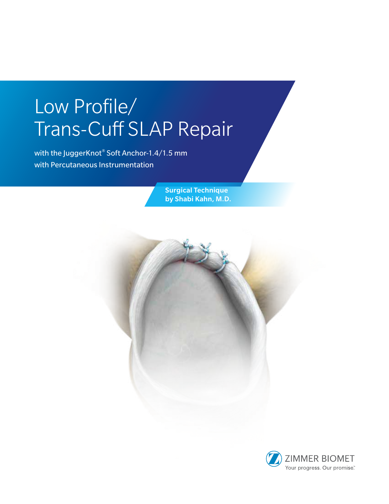# Low Profile/ Trans-Cuff SLAP Repair

with the JuggerKnot® Soft Anchor-1.4/1.5 mm with Percutaneous Instrumentation

> Surgical Technique by Shabi Kahn, M.D.

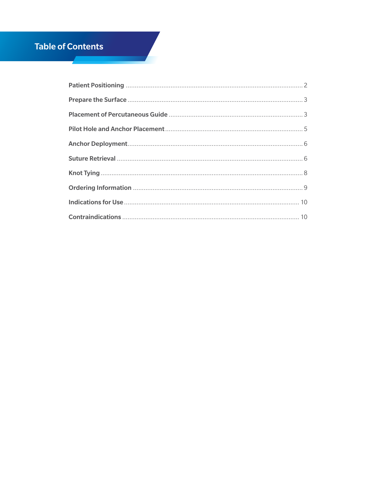# **Table of Contents**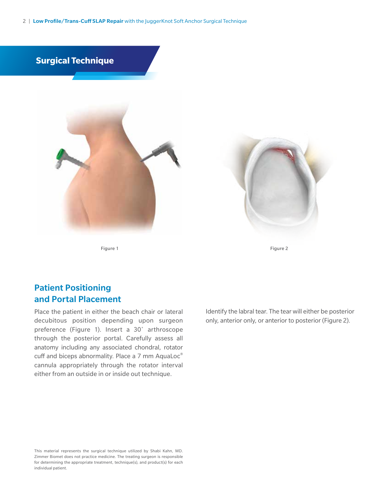2 | Low Profile/Trans-Cuff SLAP Repair with the JuggerKnot Soft Anchor Surgical Technique



Figure 1 Figure 2

## Patient Positioning and Portal Placement

Place the patient in either the beach chair or lateral decubitous position depending upon surgeon preference (Figure 1). Insert a 30˚ arthroscope through the posterior portal. Carefully assess all anatomy including any associated chondral, rotator cuff and biceps abnormality. Place a 7 mm AquaLoc® cannula appropriately through the rotator interval either from an outside in or inside out technique.

Identify the labral tear. The tear will either be posterior only, anterior only, or anterior to posterior (Figure 2).

This material represents the surgical technique utilized by Shabi Kahn, MD. Zimmer Biomet does not practice medicine. The treating surgeon is responsible for determining the appropriate treatment, technique(s), and product(s) for each individual patient.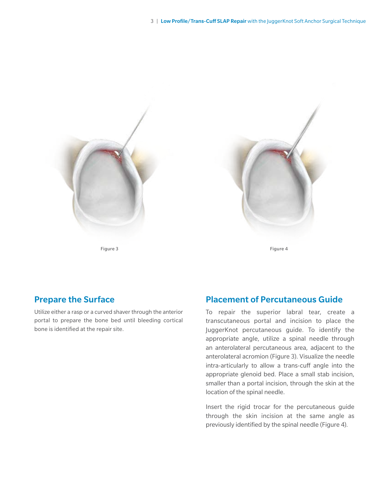



## Prepare the Surface

Utilize either a rasp or a curved shaver through the anterior portal to prepare the bone bed until bleeding cortical bone is identified at the repair site.

### Placement of Percutaneous Guide

To repair the superior labral tear, create a transcutaneous portal and incision to place the JuggerKnot percutaneous guide. To identify the appropriate angle, utilize a spinal needle through an anterolateral percutaneous area, adjacent to the anterolateral acromion (Figure 3). Visualize the needle intra-articularly to allow a trans-cuff angle into the appropriate glenoid bed. Place a small stab incision, smaller than a portal incision, through the skin at the location of the spinal needle.

Insert the rigid trocar for the percutaneous guide through the skin incision at the same angle as previously identified by the spinal needle (Figure 4).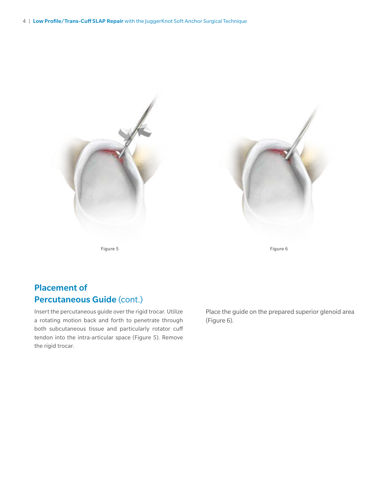



Figure 5 Figure 6

## Placement of Percutaneous Guide (cont.)

Insert the percutaneous guide over the rigid trocar. Utilize a rotating motion back and forth to penetrate through both subcutaneous tissue and particularly rotator cuff tendon into the intra-articular space (Figure 5). Remove the rigid trocar.

Place the guide on the prepared superior glenoid area (Figure 6).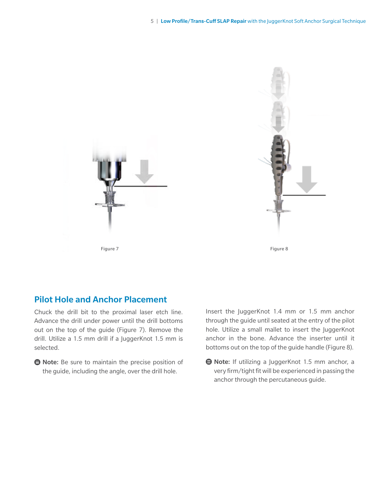



## Pilot Hole and Anchor Placement

Chuck the drill bit to the proximal laser etch line. Advance the drill under power until the drill bottoms out on the top of the guide (Figure 7). Remove the drill. Utilize a 1.5 mm drill if a JuggerKnot 1.5 mm is selected.

**● Note:** Be sure to maintain the precise position of the guide, including the angle, over the drill hole.

Insert the JuggerKnot 1.4 mm or 1.5 mm anchor through the guide until seated at the entry of the pilot hole. Utilize a small mallet to insert the JuggerKnot anchor in the bone. Advance the inserter until it bottoms out on the top of the guide handle (Figure 8).

**● Note:** If utilizing a JuggerKnot 1.5 mm anchor, a very firm/tight fit will be experienced in passing the anchor through the percutaneous guide.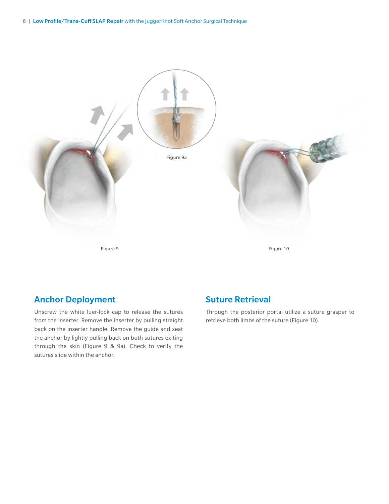

## Anchor Deployment

Unscrew the white luer-lock cap to release the sutures from the inserter. Remove the inserter by pulling straight back on the inserter handle. Remove the guide and seat the anchor by lightly pulling back on both sutures exiting through the skin (Figure 9 & 9a). Check to verify the sutures slide within the anchor.

## Suture Retrieval

Through the posterior portal utilize a suture grasper to retrieve both limbs of the suture (Figure 10).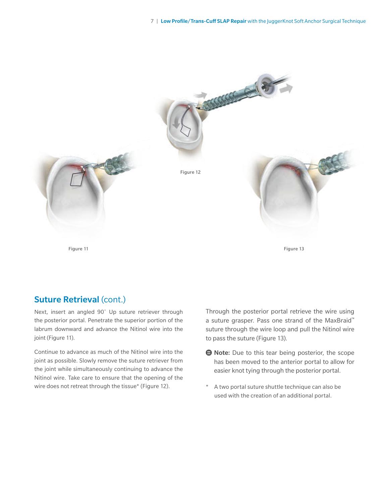

## Suture Retrieval (cont.)

Next, insert an angled 90˚ Up suture retriever through the posterior portal. Penetrate the superior portion of the labrum downward and advance the Nitinol wire into the joint (Figure 11).

Continue to advance as much of the Nitinol wire into the joint as possible. Slowly remove the suture retriever from the joint while simultaneously continuing to advance the Nitinol wire. Take care to ensure that the opening of the wire does not retreat through the tissue\* (Figure 12).

Through the posterior portal retrieve the wire using a suture grasper. Pass one strand of the MaxBraid™ suture through the wire loop and pull the Nitinol wire to pass the suture (Figure 13).

- **E** Note: Due to this tear being posterior, the scope has been moved to the anterior portal to allow for easier knot tying through the posterior portal.
- A two portal suture shuttle technique can also be used with the creation of an additional portal.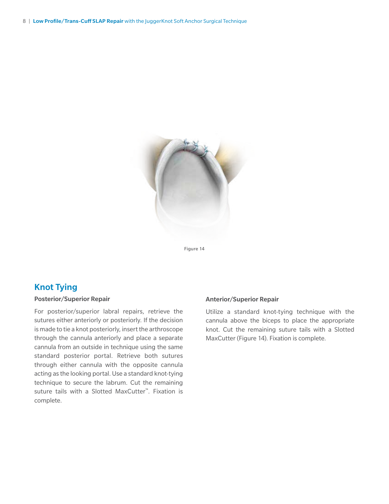

Figure 14

## Knot Tying

#### Posterior/Superior Repair

For posterior/superior labral repairs, retrieve the sutures either anteriorly or posteriorly. If the decision is made to tie a knot posteriorly, insert the arthroscope through the cannula anteriorly and place a separate cannula from an outside in technique using the same standard posterior portal. Retrieve both sutures through either cannula with the opposite cannula acting as the looking portal. Use a standard knot-tying technique to secure the labrum. Cut the remaining suture tails with a Slotted MaxCutter™. Fixation is complete.

#### Anterior/Superior Repair

Utilize a standard knot-tying technique with the cannula above the biceps to place the appropriate knot. Cut the remaining suture tails with a Slotted MaxCutter (Figure 14). Fixation is complete.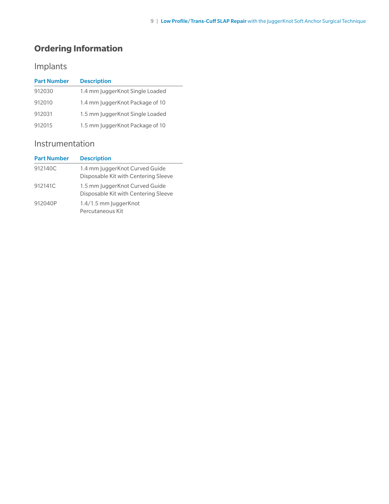# **Ordering Information**

# Implants

| <b>Part Number</b> | <b>Description</b>              |
|--------------------|---------------------------------|
| 912030             | 1.4 mm JuggerKnot Single Loaded |
| 912010             | 1.4 mm JuggerKnot Package of 10 |
| 912031             | 1.5 mm JuggerKnot Single Loaded |
| 912015             | 1.5 mm JuggerKnot Package of 10 |

## Instrumentation

| <b>Part Number</b> | <b>Description</b>                                                     |
|--------------------|------------------------------------------------------------------------|
| 912140C            | 1.4 mm JuggerKnot Curved Guide<br>Disposable Kit with Centering Sleeve |
| 912141C            | 1.5 mm JuggerKnot Curved Guide<br>Disposable Kit with Centering Sleeve |
| 912040P            | 1.4/1.5 mm JuggerKnot<br>Percutaneous Kit                              |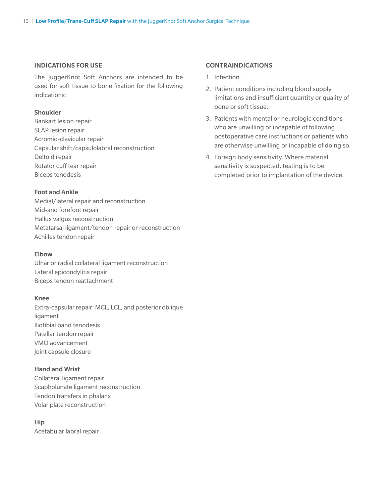#### INDICATIONS FOR USE

The JuggerKnot Soft Anchors are intended to be used for soft tissue to bone fixation for the following indications:

#### Shoulder

Bankart lesion repair SLAP lesion repair Acromio-clavicular repair Capsular shift/capsulolabral reconstruction Deltoid repair Rotator cuff tear repair Biceps tenodesis

#### Foot and Ankle

Medial/lateral repair and reconstruction Mid-and forefoot repair Hallux valgus reconstruction Metatarsal ligament/tendon repair or reconstruction Achilles tendon repair

#### Elbow

Ulnar or radial collateral ligament reconstruction Lateral epicondylitis repair Biceps tendon reattachment

#### Knee

Extra-capsular repair: MCL, LCL, and posterior oblique ligament Iliotibial band tenodesis Patellar tendon repair VMO advancement Joint capsule closure

#### Hand and Wrist

Collateral ligament repair Scapholunate ligament reconstruction Tendon transfers in phalanx Volar plate reconstruction

Hip Acetabular labral repair

#### CONTRAINDICATIONS

- 1. Infection.
- 2. Patient conditions including blood supply limitations and insufficient quantity or quality of bone or soft tissue.
- 3. Patients with mental or neurologic conditions who are unwilling or incapable of following postoperative care instructions or patients who are otherwise unwilling or incapable of doing so.
- 4. Foreign body sensitivity. Where material sensitivity is suspected, testing is to be completed prior to implantation of the device.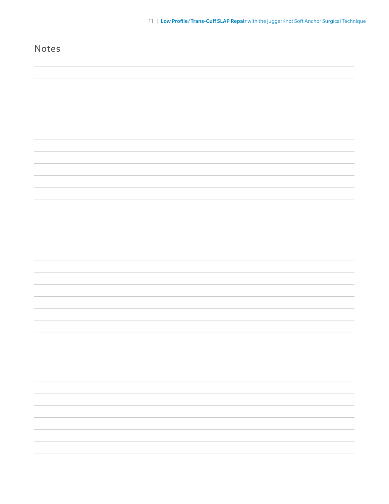| Notes |  |
|-------|--|
|       |  |
|       |  |
|       |  |
|       |  |
|       |  |
|       |  |
|       |  |
|       |  |
|       |  |
|       |  |
|       |  |
|       |  |
|       |  |
|       |  |
|       |  |
|       |  |
|       |  |
|       |  |
|       |  |
|       |  |
|       |  |
|       |  |
|       |  |
|       |  |
|       |  |
|       |  |
|       |  |
|       |  |
|       |  |
|       |  |
|       |  |
|       |  |
|       |  |
|       |  |
|       |  |
|       |  |
|       |  |
|       |  |
|       |  |
|       |  |
|       |  |
|       |  |
|       |  |
|       |  |
|       |  |
|       |  |
|       |  |

11 | Low Profile/Trans-Cuff SLAP Repair with the JuggerKnot Soft Anchor Surgical Technique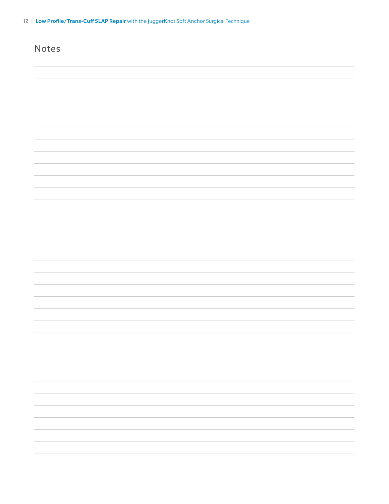| <b>Notes</b> |  |
|--------------|--|
|              |  |
|              |  |
|              |  |
|              |  |
|              |  |
|              |  |
|              |  |
|              |  |
|              |  |
|              |  |
|              |  |
|              |  |
|              |  |
|              |  |
|              |  |
|              |  |
|              |  |
|              |  |
|              |  |
|              |  |
|              |  |
|              |  |
|              |  |
|              |  |
|              |  |
|              |  |
|              |  |
|              |  |